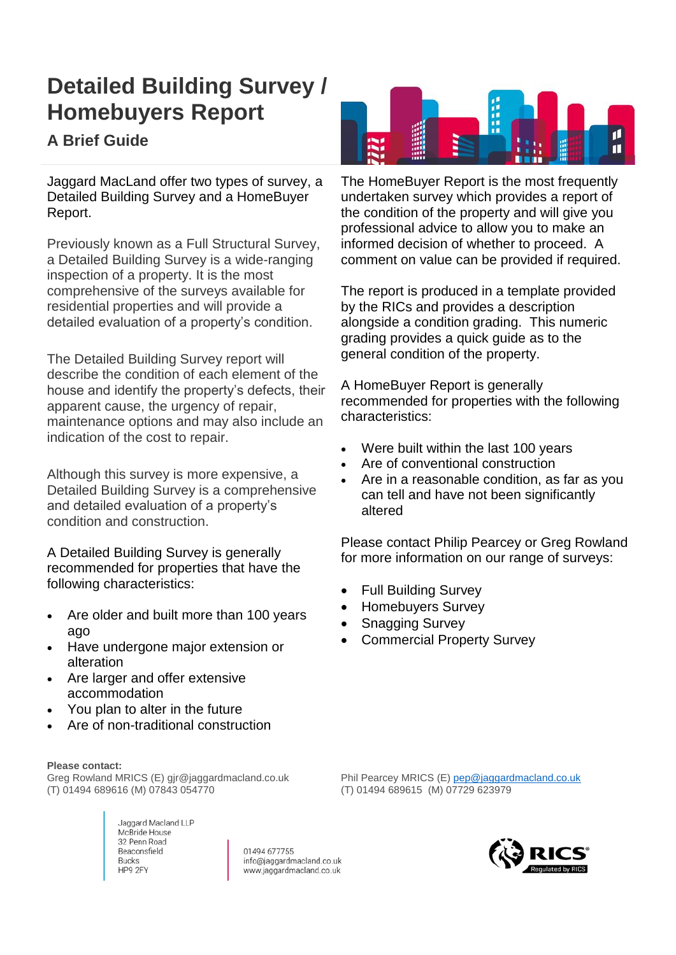## **Detailed Building Survey / Homebuyers Report**

## **A Brief Guide**

Jaggard MacLand offer two types of survey, a Detailed Building Survey and a HomeBuyer Report.

Previously known as a Full Structural Survey, a Detailed Building Survey is a wide-ranging inspection of a property. It is the most comprehensive of the surveys available for residential properties and will provide a detailed evaluation of a property's condition.

The Detailed Building Survey report will describe the condition of each element of the house and identify the property's defects, their apparent cause, the urgency of repair, maintenance options and may also include an indication of the cost to repair.

Although this survey is more expensive, a Detailed Building Survey is a comprehensive and detailed evaluation of a property's condition and construction.

A Detailed Building Survey is generally recommended for properties that have the following characteristics:

- Are older and built more than 100 years ago
- Have undergone major extension or alteration
- Are larger and offer extensive accommodation
- You plan to alter in the future
- Are of non-traditional construction

## **Please contact:**

Greg Rowland MRICS (E) gjr@jaggardmacland.co.uk (T) 01494 689616 (M) 07843 054770

> Jaggard Macland LLP McBride House 32 Penn Road Beaconsfield **Bucks** HP9 2FY

01494 677755 info@jaggardmacland.co.uk www.jaggardmacland.co.uk



The HomeBuyer Report is the most frequently undertaken survey which provides a report of the condition of the property and will give you professional advice to allow you to make an informed decision of whether to proceed. A comment on value can be provided if required.

The report is produced in a template provided by the RICs and provides a description alongside a condition grading. This numeric grading provides a quick guide as to the general condition of the property.

A HomeBuyer Report is generally recommended for properties with the following characteristics:

- Were built within the last 100 years
- Are of conventional construction
- Are in a reasonable condition, as far as you can tell and have not been significantly altered

Please contact Philip Pearcey or Greg Rowland for more information on our range of surveys:

- Full Building Survey
- Homebuyers Survey
- Snagging Survey
- Commercial Property Survey

Phil Pearcey MRICS (E) [pep@jaggardmacland.co.uk](mailto:pep@jaggardmacland.co.uk) (T) 01494 689615 (M) 07729 623979